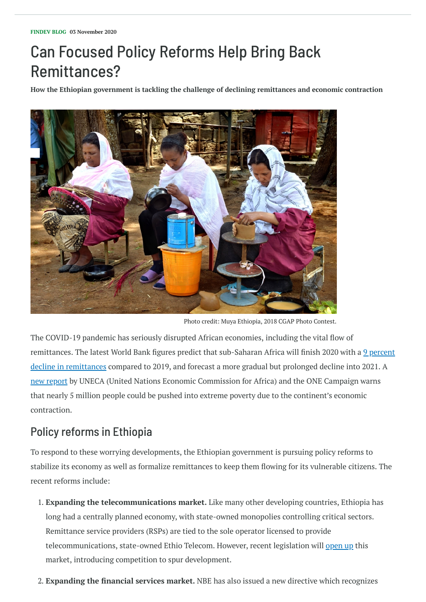## Can Focused Policy Reforms Help Bring Back Remittances?

**How the Ethiopian government is tackling the challenge of declining remittances and economic contraction**

The COVID-19 pandemic has seriously disrupted African economies, including the vital flow of remittances. The latest World Bank figures predict that [sub-Saharan](https://www.knomad.org/sites/default/files/2020-10/Migration%20%26%20Development%20Brief%2033.pdf) Africa will finish 2020 with a 9 percent decline in remittances compared to 2019, and forecast a more gradual but prolonged decline into 2021. A new [report](https://repository.uneca.org/bitstream/handle/10855/43925/b11990144.pdf?sequence=1&isAllowed=y) by UNECA (United Nations Economic Commission for Africa) and the ONE Campaign warns that nearly 5 million people could be pushed into extreme poverty due to the continent's economic contraction.

## Policy reforms in Ethiopia

To respond to these worrying developments, the Ethiopian government is pursuing policy reforms to

stabilize its economy as well as formalize remittances to keep them flowing for its vulnerable citizens. The recent reforms include:

1. **Expanding the telecommunications market.** Like many other developing countries, Ethiopia has long had a centrally planned economy, with state-owned monopolies controlling critical sectors. Remittance service providers (RSPs) are tied to the sole operator licensed to provide telecommunications, state-owned Ethio Telecom. However, recent legislation will [open](https://www.thereporterethiopia.com/article/telecom-operators-invited-express-interests-ethiopia) up this market, introducing competition to spur development.

2. **Expanding the financial services market.** NBE has also issued a new directive which recognizes



Photo credit: Muya Ethiopia, 2018 CGAP Photo Contest.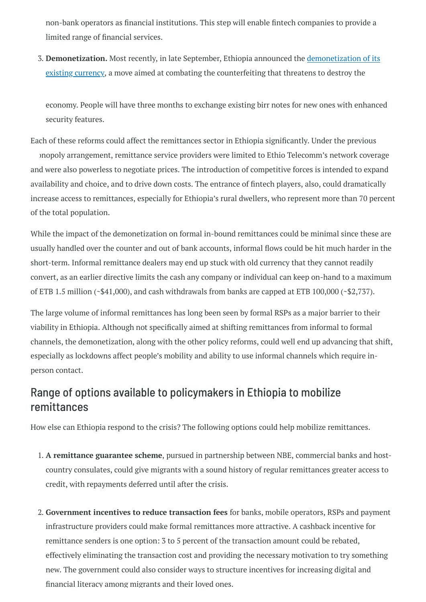non-bank operators as financial institutions. This step will enable fintech companies to provide a limited range of financial services.

3. **[Demonetization.](https://www.aa.com.tr/en/africa/ethiopia-demonetizes-banknotes-to-salvage-economy/1972881)** Most recently, in late September, Ethiopia announced the demonetization of its existing currency, a move aimed at combating the counterfeiting that threatens to destroy the

economy. People will have three months to exchange existing birr notes for new ones with enhanced security features.

Each of these reforms could affect the remittances sector in Ethiopia significantly. Under the previous

onopoly arrangement, remittance service providers were limited to Ethio Telecomm's network coverage and were also powerless to negotiate prices. The introduction of competitive forces is intended to expand availability and choice, and to drive down costs. The entrance of fintech players, also, could dramatically increase access to remittances, especially for Ethiopia's rural dwellers, who represent more than 70 percent of the total population.

While the impact of the demonetization on formal in-bound remittances could be minimal since these are usually handled over the counter and out of bank accounts, informal flows could be hit much harder in the short-term. Informal remittance dealers may end up stuck with old currency that they cannot readily convert, as an earlier directive limits the cash any company or individual can keep on-hand to a maximum of ETB 1.5 million (~\$41,000), and cash withdrawals from banks are capped at ETB 100,000 (~\$2,737).

The large volume of informal remittances has long been seen by formal RSPs as a major barrier to their viability in Ethiopia. Although not specifically aimed at shifting remittances from informal to formal channels, the demonetization, along with the other policy reforms, could well end up advancing that shift, especially as lockdowns affect people's mobility and ability to use informal channels which require inperson contact.

## Range of options available to policymakers in Ethiopia to mobilize remittances

How else can Ethiopia respond to the crisis? The following options could help mobilize remittances.

1. **A remittance guarantee scheme**, pursued in partnership between NBE, commercial banks and hostcountry consulates, could give migrants with a sound history of regular remittances greater access to credit, with repayments deferred until after the crisis.

2. **Government incentives to reduce transaction fees** for banks, mobile operators, RSPs and payment infrastructure providers could make formal remittances more attractive. A cashback incentive for remittance senders is one option: 3 to 5 percent of the transaction amount could be rebated, effectively eliminating the transaction cost and providing the necessary motivation to try something new. The government could also consider ways to structure incentives for increasing digital and financial literacy among migrants and their loved ones.